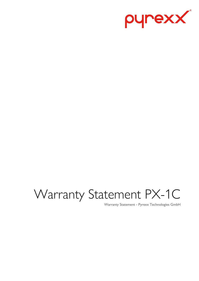

# Warranty Statement PX-1C

Warranty Statement - Pyrexx Technologies GmbH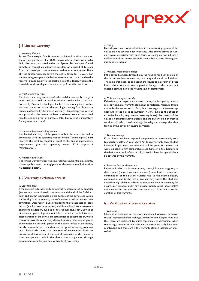

# § 1 Limited warranty

## *1. Warranty Validity*

Pyrexx Technologies GmbH warrants a defect-free device only for the original purchaser of a PX-1C Smoke Alarm Device with Radio Link, that was purchased either at Pyrexx Technologies GmbH directly, or through an authorized reseller, for a period of 12 years from the date of purchase, when used and serviced as intended.Thereby the limited warranty covers the entire device for 10 years. For the remaining two years, the limited warranty shall not extend to the reserve / power supply to the electronics of the device, whereas the material / workmanship errors are exempt from this restriction.

## *2. Proof of warranty claim*

The limited warranty is not transferable and does not apply to buyers who have purchased the product from a reseller who is not authorized by Pyrexx Technologies GmbH. This also applies to online auctions, but is not limited thereto. Rights arising from legislation remain unaffected by the limited warranty. Please keep your receipt as a proof that the device has been purchased from an authorized reseller, and as a proof of purchase date. This receipt is mandatory for any warranty claims!

#### *3. Use according to operating manual*

The limited warranty will be granted only if the device is used in accordance with the operating manual. Pyrexx Technologies GmbH reserves the right to request a proof of the annual maintenance requirements (see also operating manual PX-1 chapter 8 "Maintenance").

#### *4. Warranty Limitations*

The limited warranty does not cover claims resulting from accidents, misuse, application errors, negligence, or the warranty exclusion criteria described below.

# § 2 Warranty exclusion criteria

#### *1. Contamination*

If the device is externally and / or internally contaminated by deposits (excessively contaminated), any warranty claim shall be forfeited. Paint and similar substances on the surface of the device and within the housing / measurement system of the device shall be deemed contamination. Decoration / painting limited to the release testing / stop button (smoke alarm device cover) shall be excluded from a warranty exclusion! In addition, build-up of fire residues (e.g. soot), as well as nicotine and grease deposits, which have caused a readily detectable discolouration of the device, are categorized as contamination, which means the loss of any warranty claims. Especially nicotine and grease condensates do not only gather on the outer surface of the device, but also accumulate on the surfaces of the optical measuring components. Particularly there, the adhesion of condensates leads to premature deterioration of the optical properties of the measurement components, which the device can compensate through autonomous recalibration only within its physical limits.

#### *2. Soiling*

Dust deposits and insect infestation in the measuring system of the device are not covered under warranty. Also smoke alarms or warning signals associated with such forms of soiling do not indicate a malfunction of the device, but only show a lack of care, cleaning and maintenance thereof.

#### *3. Physical / mechanical damage*

If the device has been damaged, e.g. the housing has been broken or the device has been opened, any warranty claim shall be forfeited. The same shall apply to subjecting the device to any form of brute force, which does not cause a physical damage to the device, but causes a damage inside the housing (e.g. of electronics).

#### *4. Moisture damage / corrosion*

If the device, and in particular its electronics, are damaged by moisture of any kind, any warranty claim shall be forfeited. Moisture thus is not only the exposure to fluid, but also regular, above-average exposure of the device to humidity (> 70%). Due to the effect of excessive humidity (e.g., steam / roasting fumes), the battery of the device is discharged above average, and the battery life is shortened considerably. Also, liquids and high humidity can damage the electronics of the device by causing corrosion.

#### *5. Thermal damage*

If the device has been exposed temporarily or permanently to a temperature below 0° C or above 70° C, any warranty claim shall be forfeited. In particular, no warranty shall be given for devices that were exposed to high temperatures and fumes in a fire. Damage to the device as a result of frost / cold, as well as heat damage, shall not be covered by the warranty.

#### *6. Excessive load on the battery*

Excessive load on the battery capacity through frequent triggering of alarm tones (more than once a month) may lead to premature consumption of the battery capacity due to the related battery consumption and to the loss of any warranty claims.This shall also extend to any liability in relation to tradability and / or suitability for a particular purpose under any implied liability which nevertheless exists under the law; the after-sales services shall be limited to the duration of this warranty.

# § 3 Verification of warranty claims

## *1. Verification*

Check if at least one of the afore mentioned warranty exclusion reasons is present before making a warranty claim. Keep in mind also that there are sufficient technical capabilities to determine, when submitting a warranty claim, whether the device has really been used as intended, and therefore if the warranty claim is justified or unjustified.